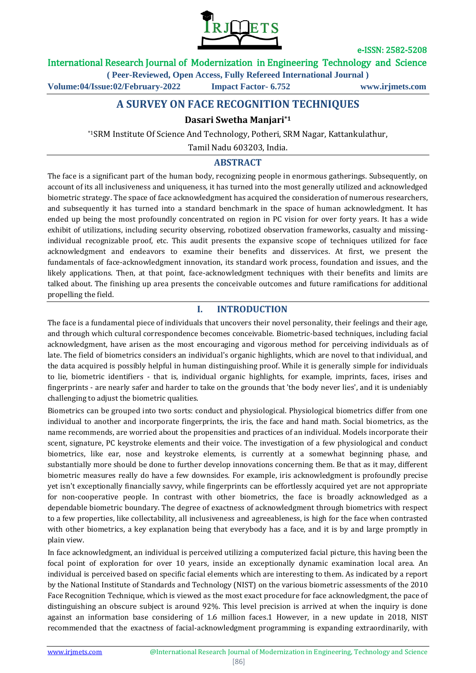

International Research Journal of Modernization in Engineering Technology and Science

**( Peer-Reviewed, Open Access, Fully Refereed International Journal )**

**Volume:04/Issue:02/February-2022 Impact Factor- 6.752 www.irjmets.com**

# **A SURVEY ON FACE RECOGNITION TECHNIQUES**

### **Dasari Swetha Manjari\*1**

\*1SRM Institute Of Science And Technology, Potheri, SRM Nagar, Kattankulathur,

Tamil Nadu 603203, India.

### **ABSTRACT**

The face is a significant part of the human body, recognizing people in enormous gatherings. Subsequently, on account of its all inclusiveness and uniqueness, it has turned into the most generally utilized and acknowledged biometric strategy. The space of face acknowledgment has acquired the consideration of numerous researchers, and subsequently it has turned into a standard benchmark in the space of human acknowledgment. It has ended up being the most profoundly concentrated on region in PC vision for over forty years. It has a wide exhibit of utilizations, including security observing, robotized observation frameworks, casualty and missingindividual recognizable proof, etc. This audit presents the expansive scope of techniques utilized for face acknowledgment and endeavors to examine their benefits and disservices. At first, we present the fundamentals of face-acknowledgment innovation, its standard work process, foundation and issues, and the likely applications. Then, at that point, face-acknowledgment techniques with their benefits and limits are talked about. The finishing up area presents the conceivable outcomes and future ramifications for additional propelling the field.

### **I. INTRODUCTION**

The face is a fundamental piece of individuals that uncovers their novel personality, their feelings and their age, and through which cultural correspondence becomes conceivable. Biometric-based techniques, including facial acknowledgment, have arisen as the most encouraging and vigorous method for perceiving individuals as of late. The field of biometrics considers an individual's organic highlights, which are novel to that individual, and the data acquired is possibly helpful in human distinguishing proof. While it is generally simple for individuals to lie, biometric identifiers - that is, individual organic highlights, for example, imprints, faces, irises and fingerprints - are nearly safer and harder to take on the grounds that 'the body never lies', and it is undeniably challenging to adjust the biometric qualities.

Biometrics can be grouped into two sorts: conduct and physiological. Physiological biometrics differ from one individual to another and incorporate fingerprints, the iris, the face and hand math. Social biometrics, as the name recommends, are worried about the propensities and practices of an individual. Models incorporate their scent, signature, PC keystroke elements and their voice. The investigation of a few physiological and conduct biometrics, like ear, nose and keystroke elements, is currently at a somewhat beginning phase, and substantially more should be done to further develop innovations concerning them. Be that as it may, different biometric measures really do have a few downsides. For example, iris acknowledgment is profoundly precise yet isn't exceptionally financially savvy, while fingerprints can be effortlessly acquired yet are not appropriate for non-cooperative people. In contrast with other biometrics, the face is broadly acknowledged as a dependable biometric boundary. The degree of exactness of acknowledgment through biometrics with respect to a few properties, like collectability, all inclusiveness and agreeableness, is high for the face when contrasted with other biometrics, a key explanation being that everybody has a face, and it is by and large promptly in plain view.

In face acknowledgment, an individual is perceived utilizing a computerized facial picture, this having been the focal point of exploration for over 10 years, inside an exceptionally dynamic examination local area. An individual is perceived based on specific facial elements which are interesting to them. As indicated by a report by the National Institute of Standards and Technology (NIST) on the various biometric assessments of the 2010 Face Recognition Technique, which is viewed as the most exact procedure for face acknowledgment, the pace of distinguishing an obscure subject is around 92%. This level precision is arrived at when the inquiry is done against an information base considering of 1.6 million faces.1 However, in a new update in 2018, NIST recommended that the exactness of facial-acknowledgment programming is expanding extraordinarily, with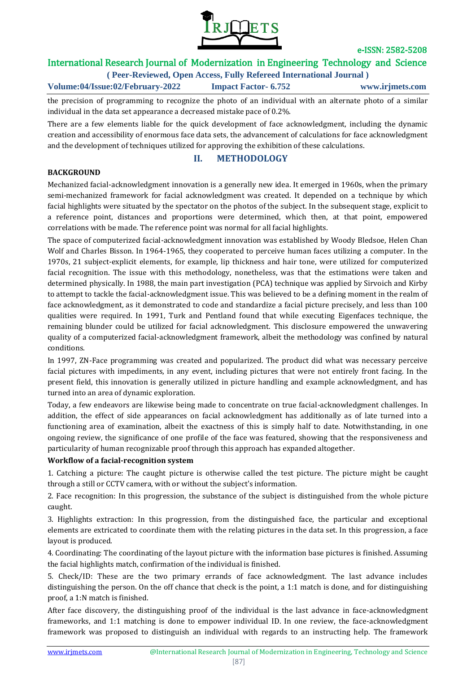

## International Research Journal of Modernization in Engineering Technology and Science

**( Peer-Reviewed, Open Access, Fully Refereed International Journal )**

**Volume:04/Issue:02/February-2022 Impact Factor- 6.752 www.irjmets.com**

the precision of programming to recognize the photo of an individual with an alternate photo of a similar individual in the data set appearance a decreased mistake pace of 0.2%.

There are a few elements liable for the quick development of face acknowledgment, including the dynamic creation and accessibility of enormous face data sets, the advancement of calculations for face acknowledgment and the development of techniques utilized for approving the exhibition of these calculations.

### **II. METHODOLOGY**

#### **BACKGROUND**

Mechanized facial-acknowledgment innovation is a generally new idea. It emerged in 1960s, when the primary semi-mechanized framework for facial acknowledgment was created. It depended on a technique by which facial highlights were situated by the spectator on the photos of the subject. In the subsequent stage, explicit to a reference point, distances and proportions were determined, which then, at that point, empowered correlations with be made. The reference point was normal for all facial highlights.

The space of computerized facial-acknowledgment innovation was established by Woody Bledsoe, Helen Chan Wolf and Charles Bisson. In 1964-1965, they cooperated to perceive human faces utilizing a computer. In the 1970s, 21 subject-explicit elements, for example, lip thickness and hair tone, were utilized for computerized facial recognition. The issue with this methodology, nonetheless, was that the estimations were taken and determined physically. In 1988, the main part investigation (PCA) technique was applied by Sirvoich and Kirby to attempt to tackle the facial-acknowledgment issue. This was believed to be a defining moment in the realm of face acknowledgment, as it demonstrated to code and standardize a facial picture precisely, and less than 100 qualities were required. In 1991, Turk and Pentland found that while executing Eigenfaces technique, the remaining blunder could be utilized for facial acknowledgment. This disclosure empowered the unwavering quality of a computerized facial-acknowledgment framework, albeit the methodology was confined by natural conditions.

In 1997, ZN-Face programming was created and popularized. The product did what was necessary perceive facial pictures with impediments, in any event, including pictures that were not entirely front facing. In the present field, this innovation is generally utilized in picture handling and example acknowledgment, and has turned into an area of dynamic exploration.

Today, a few endeavors are likewise being made to concentrate on true facial-acknowledgment challenges. In addition, the effect of side appearances on facial acknowledgment has additionally as of late turned into a functioning area of examination, albeit the exactness of this is simply half to date. Notwithstanding, in one ongoing review, the significance of one profile of the face was featured, showing that the responsiveness and particularity of human recognizable proof through this approach has expanded altogether.

### **Workflow of a facial-recognition system**

1. Catching a picture: The caught picture is otherwise called the test picture. The picture might be caught through a still or CCTV camera, with or without the subject's information.

2. Face recognition: In this progression, the substance of the subject is distinguished from the whole picture caught.

3. Highlights extraction: In this progression, from the distinguished face, the particular and exceptional elements are extricated to coordinate them with the relating pictures in the data set. In this progression, a face layout is produced.

4. Coordinating: The coordinating of the layout picture with the information base pictures is finished. Assuming the facial highlights match, confirmation of the individual is finished.

5. Check/ID: These are the two primary errands of face acknowledgment. The last advance includes distinguishing the person. On the off chance that check is the point, a 1:1 match is done, and for distinguishing proof, a 1:N match is finished.

After face discovery, the distinguishing proof of the individual is the last advance in face-acknowledgment frameworks, and 1:1 matching is done to empower individual ID. In one review, the face-acknowledgment framework was proposed to distinguish an individual with regards to an instructing help. The framework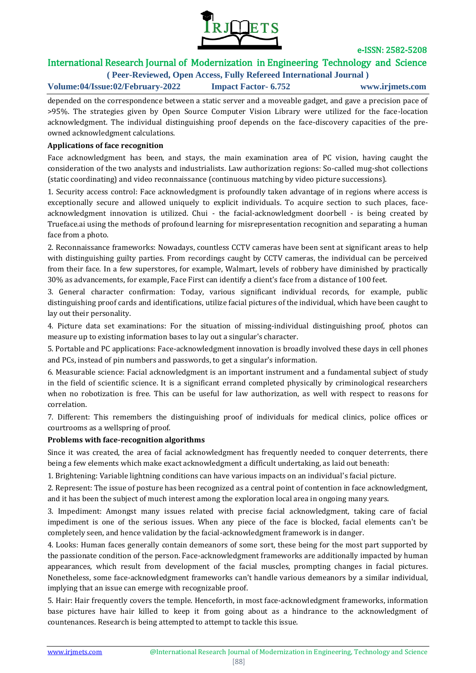

## International Research Journal of Modernization in Engineering Technology and Science

**( Peer-Reviewed, Open Access, Fully Refereed International Journal )**

**Volume:04/Issue:02/February-2022 Impact Factor- 6.752 www.irjmets.com**

depended on the correspondence between a static server and a moveable gadget, and gave a precision pace of >95%. The strategies given by Open Source Computer Vision Library were utilized for the face-location acknowledgment. The individual distinguishing proof depends on the face-discovery capacities of the preowned acknowledgment calculations.

#### **Applications of face recognition**

Face acknowledgment has been, and stays, the main examination area of PC vision, having caught the consideration of the two analysts and industrialists. Law authorization regions: So-called mug-shot collections (static coordinating) and video reconnaissance (continuous matching by video picture successions).

1. Security access control: Face acknowledgment is profoundly taken advantage of in regions where access is exceptionally secure and allowed uniquely to explicit individuals. To acquire section to such places, faceacknowledgment innovation is utilized. Chui - the facial-acknowledgment doorbell - is being created by Trueface.ai using the methods of profound learning for misrepresentation recognition and separating a human face from a photo.

2. Reconnaissance frameworks: Nowadays, countless CCTV cameras have been sent at significant areas to help with distinguishing guilty parties. From recordings caught by CCTV cameras, the individual can be perceived from their face. In a few superstores, for example, Walmart, levels of robbery have diminished by practically 30% as advancements, for example, Face First can identify a client's face from a distance of 100 feet.

3. General character confirmation: Today, various significant individual records, for example, public distinguishing proof cards and identifications, utilize facial pictures of the individual, which have been caught to lay out their personality.

4. Picture data set examinations: For the situation of missing-individual distinguishing proof, photos can measure up to existing information bases to lay out a singular's character.

5. Portable and PC applications: Face-acknowledgment innovation is broadly involved these days in cell phones and PCs, instead of pin numbers and passwords, to get a singular's information.

6. Measurable science: Facial acknowledgment is an important instrument and a fundamental subject of study in the field of scientific science. It is a significant errand completed physically by criminological researchers when no robotization is free. This can be useful for law authorization, as well with respect to reasons for correlation.

7. Different: This remembers the distinguishing proof of individuals for medical clinics, police offices or courtrooms as a wellspring of proof.

#### **Problems with face-recognition algorithms**

Since it was created, the area of facial acknowledgment has frequently needed to conquer deterrents, there being a few elements which make exact acknowledgment a difficult undertaking, as laid out beneath:

1. Brightening: Variable lightning conditions can have various impacts on an individual's facial picture.

2. Represent: The issue of posture has been recognized as a central point of contention in face acknowledgment, and it has been the subject of much interest among the exploration local area in ongoing many years.

3. Impediment: Amongst many issues related with precise facial acknowledgment, taking care of facial impediment is one of the serious issues. When any piece of the face is blocked, facial elements can't be completely seen, and hence validation by the facial-acknowledgment framework is in danger.

4. Looks: Human faces generally contain demeanors of some sort, these being for the most part supported by the passionate condition of the person. Face-acknowledgment frameworks are additionally impacted by human appearances, which result from development of the facial muscles, prompting changes in facial pictures. Nonetheless, some face-acknowledgment frameworks can't handle various demeanors by a similar individual, implying that an issue can emerge with recognizable proof.

5. Hair: Hair frequently covers the temple. Henceforth, in most face-acknowledgment frameworks, information base pictures have hair killed to keep it from going about as a hindrance to the acknowledgment of countenances. Research is being attempted to attempt to tackle this issue.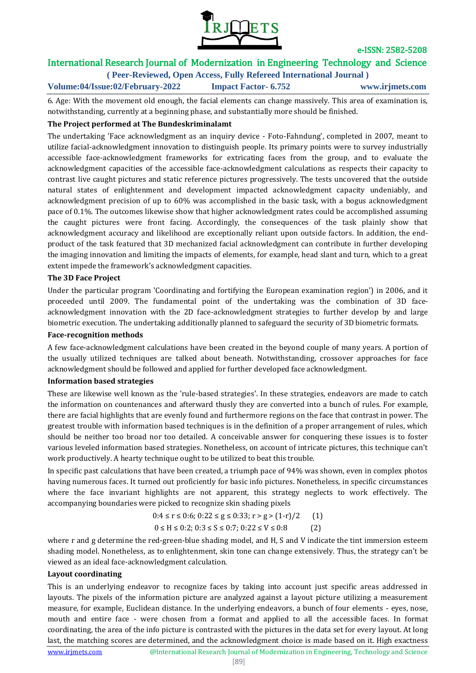

# International Research Journal of Modernization in Engineering Technology and Science

**( Peer-Reviewed, Open Access, Fully Refereed International Journal )**

**Volume:04/Issue:02/February-2022 Impact Factor- 6.752 www.irjmets.com**

6. Age: With the movement old enough, the facial elements can change massively. This area of examination is, notwithstanding, currently at a beginning phase, and substantially more should be finished.

#### **The Project performed at The Bundeskriminalamt**

The undertaking 'Face acknowledgment as an inquiry device - Foto-Fahndung', completed in 2007, meant to utilize facial-acknowledgment innovation to distinguish people. Its primary points were to survey industrially accessible face-acknowledgment frameworks for extricating faces from the group, and to evaluate the acknowledgment capacities of the accessible face-acknowledgment calculations as respects their capacity to contrast live caught pictures and static reference pictures progressively. The tests uncovered that the outside natural states of enlightenment and development impacted acknowledgment capacity undeniably, and acknowledgment precision of up to 60% was accomplished in the basic task, with a bogus acknowledgment pace of 0.1%. The outcomes likewise show that higher acknowledgment rates could be accomplished assuming the caught pictures were front facing. Accordingly, the consequences of the task plainly show that acknowledgment accuracy and likelihood are exceptionally reliant upon outside factors. In addition, the endproduct of the task featured that 3D mechanized facial acknowledgment can contribute in further developing the imaging innovation and limiting the impacts of elements, for example, head slant and turn, which to a great extent impede the framework's acknowledgment capacities.

#### **The 3D Face Project**

Under the particular program 'Coordinating and fortifying the European examination region') in 2006, and it proceeded until 2009. The fundamental point of the undertaking was the combination of 3D faceacknowledgment innovation with the 2D face-acknowledgment strategies to further develop by and large biometric execution. The undertaking additionally planned to safeguard the security of 3D biometric formats.

#### **Face-recognition methods**

A few face-acknowledgment calculations have been created in the beyond couple of many years. A portion of the usually utilized techniques are talked about beneath. Notwithstanding, crossover approaches for face acknowledgment should be followed and applied for further developed face acknowledgment.

#### **Information based strategies**

These are likewise well known as the 'rule-based strategies'. In these strategies, endeavors are made to catch the information on countenances and afterward thusly they are converted into a bunch of rules. For example, there are facial highlights that are evenly found and furthermore regions on the face that contrast in power. The greatest trouble with information based techniques is in the definition of a proper arrangement of rules, which should be neither too broad nor too detailed. A conceivable answer for conquering these issues is to foster various leveled information based strategies. Nonetheless, on account of intricate pictures, this technique can't work productively. A hearty technique ought to be utilized to beat this trouble.

In specific past calculations that have been created, a triumph pace of 94% was shown, even in complex photos having numerous faces. It turned out proficiently for basic info pictures. Nonetheless, in specific circumstances where the face invariant highlights are not apparent, this strategy neglects to work effectively. The accompanying boundaries were picked to recognize skin shading pixels

$$
0:4 \le r \le 0:6; 0:22 \le g \le 0:33; r > g > (1-r)/2 \qquad (1)
$$
  

$$
0 \le H \le 0:2; 0:3 \le S \le 0:7; 0:22 \le V \le 0:8 \qquad (2)
$$

where r and g determine the red-green-blue shading model, and H, S and V indicate the tint immersion esteem shading model. Nonetheless, as to enlightenment, skin tone can change extensively. Thus, the strategy can't be viewed as an ideal face-acknowledgment calculation.

#### **Layout coordinating**

This is an underlying endeavor to recognize faces by taking into account just specific areas addressed in layouts. The pixels of the information picture are analyzed against a layout picture utilizing a measurement measure, for example, Euclidean distance. In the underlying endeavors, a bunch of four elements - eyes, nose, mouth and entire face - were chosen from a format and applied to all the accessible faces. In format coordinating, the area of the info picture is contrasted with the pictures in the data set for every layout. At long last, the matching scores are determined, and the acknowledgment choice is made based on it. High exactness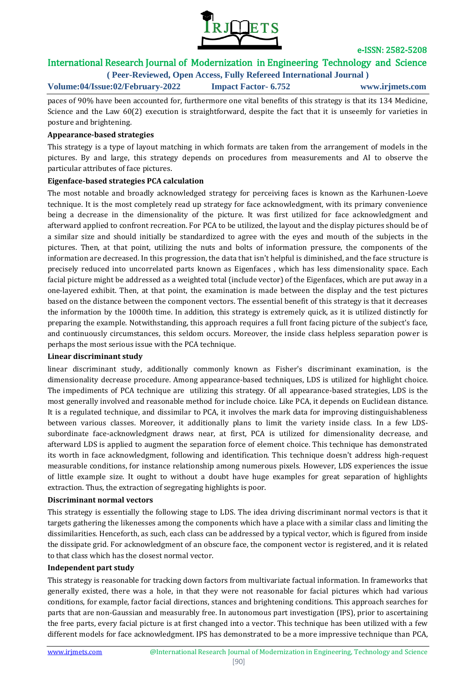

## International Research Journal of Modernization in Engineering Technology and Science

**( Peer-Reviewed, Open Access, Fully Refereed International Journal )**

**Volume:04/Issue:02/February-2022 Impact Factor- 6.752 www.irjmets.com**

paces of 90% have been accounted for, furthermore one vital benefits of this strategy is that its 134 Medicine, Science and the Law 60(2) execution is straightforward, despite the fact that it is unseemly for varieties in posture and brightening.

#### **Appearance-based strategies**

This strategy is a type of layout matching in which formats are taken from the arrangement of models in the pictures. By and large, this strategy depends on procedures from measurements and AI to observe the particular attributes of face pictures.

### **Eigenface-based strategies PCA calculation**

The most notable and broadly acknowledged strategy for perceiving faces is known as the Karhunen-Loeve technique. It is the most completely read up strategy for face acknowledgment, with its primary convenience being a decrease in the dimensionality of the picture. It was first utilized for face acknowledgment and afterward applied to confront recreation. For PCA to be utilized, the layout and the display pictures should be of a similar size and should initially be standardized to agree with the eyes and mouth of the subjects in the pictures. Then, at that point, utilizing the nuts and bolts of information pressure, the components of the information are decreased. In this progression, the data that isn't helpful is diminished, and the face structure is precisely reduced into uncorrelated parts known as Eigenfaces , which has less dimensionality space. Each facial picture might be addressed as a weighted total (include vector) of the Eigenfaces, which are put away in a one-layered exhibit. Then, at that point, the examination is made between the display and the test pictures based on the distance between the component vectors. The essential benefit of this strategy is that it decreases the information by the 1000th time. In addition, this strategy is extremely quick, as it is utilized distinctly for preparing the example. Notwithstanding, this approach requires a full front facing picture of the subject's face, and continuously circumstances, this seldom occurs. Moreover, the inside class helpless separation power is perhaps the most serious issue with the PCA technique.

#### **Linear discriminant study**

linear discriminant study, additionally commonly known as Fisher's discriminant examination, is the dimensionality decrease procedure. Among appearance-based techniques, LDS is utilized for highlight choice. The impediments of PCA technique are utilizing this strategy. Of all appearance-based strategies, LDS is the most generally involved and reasonable method for include choice. Like PCA, it depends on Euclidean distance. It is a regulated technique, and dissimilar to PCA, it involves the mark data for improving distinguishableness between various classes. Moreover, it additionally plans to limit the variety inside class. In a few LDSsubordinate face-acknowledgment draws near, at first, PCA is utilized for dimensionality decrease, and afterward LDS is applied to augment the separation force of element choice. This technique has demonstrated its worth in face acknowledgment, following and identification. This technique doesn't address high-request measurable conditions, for instance relationship among numerous pixels. However, LDS experiences the issue of little example size. It ought to without a doubt have huge examples for great separation of highlights extraction. Thus, the extraction of segregating highlights is poor.

#### **Discriminant normal vectors**

This strategy is essentially the following stage to LDS. The idea driving discriminant normal vectors is that it targets gathering the likenesses among the components which have a place with a similar class and limiting the dissimilarities. Henceforth, as such, each class can be addressed by a typical vector, which is figured from inside the dissipate grid. For acknowledgment of an obscure face, the component vector is registered, and it is related to that class which has the closest normal vector.

#### **Independent part study**

This strategy is reasonable for tracking down factors from multivariate factual information. In frameworks that generally existed, there was a hole, in that they were not reasonable for facial pictures which had various conditions, for example, factor facial directions, stances and brightening conditions. This approach searches for parts that are non-Gaussian and measurably free. In autonomous part investigation (IPS), prior to ascertaining the free parts, every facial picture is at first changed into a vector. This technique has been utilized with a few different models for face acknowledgment. IPS has demonstrated to be a more impressive technique than PCA,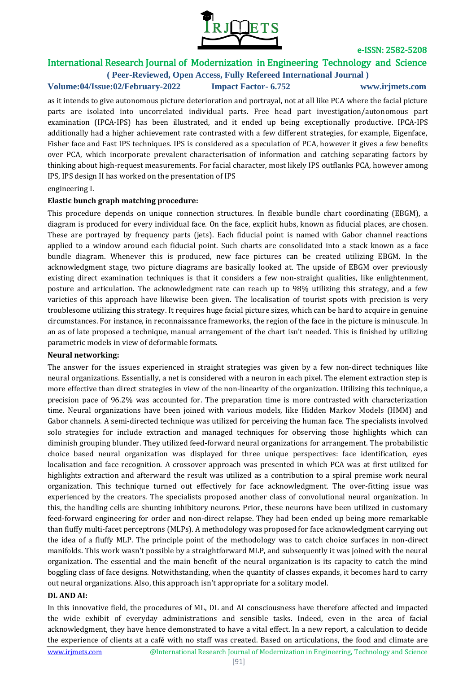

## International Research Journal of Modernization in Engineering Technology and Science

**( Peer-Reviewed, Open Access, Fully Refereed International Journal ) Volume:04/Issue:02/February-2022 Impact Factor- 6.752 www.irjmets.com**

as it intends to give autonomous picture deterioration and portrayal, not at all like PCA where the facial picture parts are isolated into uncorrelated individual parts. Free head part investigation/autonomous part examination (IPCA-IPS) has been illustrated, and it ended up being exceptionally productive. IPCA-IPS additionally had a higher achievement rate contrasted with a few different strategies, for example, Eigenface, Fisher face and Fast IPS techniques. IPS is considered as a speculation of PCA, however it gives a few benefits over PCA, which incorporate prevalent characterisation of information and catching separating factors by thinking about high-request measurements. For facial character, most likely IPS outflanks PCA, however among IPS, IPS design II has worked on the presentation of IPS

engineering I.

#### **Elastic bunch graph matching procedure:**

This procedure depends on unique connection structures. In flexible bundle chart coordinating (EBGM), a diagram is produced for every individual face. On the face, explicit hubs, known as fiducial places, are chosen. These are portrayed by frequency parts (jets). Each fiducial point is named with Gabor channel reactions applied to a window around each fiducial point. Such charts are consolidated into a stack known as a face bundle diagram. Whenever this is produced, new face pictures can be created utilizing EBGM. In the acknowledgment stage, two picture diagrams are basically looked at. The upside of EBGM over previously existing direct examination techniques is that it considers a few non-straight qualities, like enlightenment, posture and articulation. The acknowledgment rate can reach up to 98% utilizing this strategy, and a few varieties of this approach have likewise been given. The localisation of tourist spots with precision is very troublesome utilizing this strategy. It requires huge facial picture sizes, which can be hard to acquire in genuine circumstances. For instance, in reconnaissance frameworks, the region of the face in the picture is minuscule. In an as of late proposed a technique, manual arrangement of the chart isn't needed. This is finished by utilizing parametric models in view of deformable formats.

#### **Neural networking:**

The answer for the issues experienced in straight strategies was given by a few non-direct techniques like neural organizations. Essentially, a net is considered with a neuron in each pixel. The element extraction step is more effective than direct strategies in view of the non-linearity of the organization. Utilizing this technique, a precision pace of 96.2% was accounted for. The preparation time is more contrasted with characterization time. Neural organizations have been joined with various models, like Hidden Markov Models (HMM) and Gabor channels. A semi-directed technique was utilized for perceiving the human face. The specialists involved solo strategies for include extraction and managed techniques for observing those highlights which can diminish grouping blunder. They utilized feed-forward neural organizations for arrangement. The probabilistic choice based neural organization was displayed for three unique perspectives: face identification, eyes localisation and face recognition. A crossover approach was presented in which PCA was at first utilized for highlights extraction and afterward the result was utilized as a contribution to a spiral premise work neural organization. This technique turned out effectively for face acknowledgment. The over-fitting issue was experienced by the creators. The specialists proposed another class of convolutional neural organization. In this, the handling cells are shunting inhibitory neurons. Prior, these neurons have been utilized in customary feed-forward engineering for order and non-direct relapse. They had been ended up being more remarkable than fluffy multi-facet perceptrons (MLPs). A methodology was proposed for face acknowledgment carrying out the idea of a fluffy MLP. The principle point of the methodology was to catch choice surfaces in non-direct manifolds. This work wasn't possible by a straightforward MLP, and subsequently it was joined with the neural organization. The essential and the main benefit of the neural organization is its capacity to catch the mind boggling class of face designs. Notwithstanding, when the quantity of classes expands, it becomes hard to carry out neural organizations. Also, this approach isn't appropriate for a solitary model.

#### **DL AND AI:**

In this innovative field, the procedures of ML, DL and AI consciousness have therefore affected and impacted the wide exhibit of everyday administrations and sensible tasks. Indeed, even in the area of facial acknowledgment, they have hence demonstrated to have a vital effect. In a new report, a calculation to decide the experience of clients at a café with no staff was created. Based on articulations, the food and climate are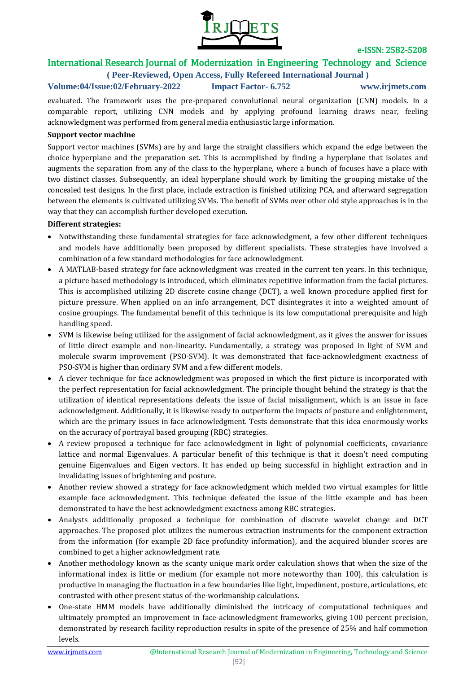

## International Research Journal of Modernization in Engineering Technology and Science

**( Peer-Reviewed, Open Access, Fully Refereed International Journal )**

**Volume:04/Issue:02/February-2022 Impact Factor- 6.752 www.irjmets.com**

evaluated. The framework uses the pre-prepared convolutional neural organization (CNN) models. In a comparable report, utilizing CNN models and by applying profound learning draws near, feeling acknowledgment was performed from general media enthusiastic large information.

#### **Support vector machine**

Support vector machines (SVMs) are by and large the straight classifiers which expand the edge between the choice hyperplane and the preparation set. This is accomplished by finding a hyperplane that isolates and augments the separation from any of the class to the hyperplane, where a bunch of focuses have a place with two distinct classes. Subsequently, an ideal hyperplane should work by limiting the grouping mistake of the concealed test designs. In the first place, include extraction is finished utilizing PCA, and afterward segregation between the elements is cultivated utilizing SVMs. The benefit of SVMs over other old style approaches is in the way that they can accomplish further developed execution.

#### **Different strategies:**

- Notwithstanding these fundamental strategies for face acknowledgment, a few other different techniques and models have additionally been proposed by different specialists. These strategies have involved a combination of a few standard methodologies for face acknowledgment.
- A MATLAB-based strategy for face acknowledgment was created in the current ten years. In this technique, a picture based methodology is introduced, which eliminates repetitive information from the facial pictures. This is accomplished utilizing 2D discrete cosine change (DCT), a well known procedure applied first for picture pressure. When applied on an info arrangement, DCT disintegrates it into a weighted amount of cosine groupings. The fundamental benefit of this technique is its low computational prerequisite and high handling speed.
- SVM is likewise being utilized for the assignment of facial acknowledgment, as it gives the answer for issues of little direct example and non-linearity. Fundamentally, a strategy was proposed in light of SVM and molecule swarm improvement (PSO-SVM). It was demonstrated that face-acknowledgment exactness of PSO-SVM is higher than ordinary SVM and a few different models.
- A clever technique for face acknowledgment was proposed in which the first picture is incorporated with the perfect representation for facial acknowledgment. The principle thought behind the strategy is that the utilization of identical representations defeats the issue of facial misalignment, which is an issue in face acknowledgment. Additionally, it is likewise ready to outperform the impacts of posture and enlightenment, which are the primary issues in face acknowledgment. Tests demonstrate that this idea enormously works on the accuracy of portrayal based grouping (RBC) strategies.
- A review proposed a technique for face acknowledgment in light of polynomial coefficients, covariance lattice and normal Eigenvalues. A particular benefit of this technique is that it doesn't need computing genuine Eigenvalues and Eigen vectors. It has ended up being successful in highlight extraction and in invalidating issues of brightening and posture.
- Another review showed a strategy for face acknowledgment which melded two virtual examples for little example face acknowledgment. This technique defeated the issue of the little example and has been demonstrated to have the best acknowledgment exactness among RBC strategies.
- Analysts additionally proposed a technique for combination of discrete wavelet change and DCT approaches. The proposed plot utilizes the numerous extraction instruments for the component extraction from the information (for example 2D face profundity information), and the acquired blunder scores are combined to get a higher acknowledgment rate.
- Another methodology known as the scanty unique mark order calculation shows that when the size of the informational index is little or medium (for example not more noteworthy than 100), this calculation is productive in managing the fluctuation in a few boundaries like light, impediment, posture, articulations, etc contrasted with other present status of-the-workmanship calculations.
- One-state HMM models have additionally diminished the intricacy of computational techniques and ultimately prompted an improvement in face-acknowledgment frameworks, giving 100 percent precision, demonstrated by research facility reproduction results in spite of the presence of 25% and half commotion levels.